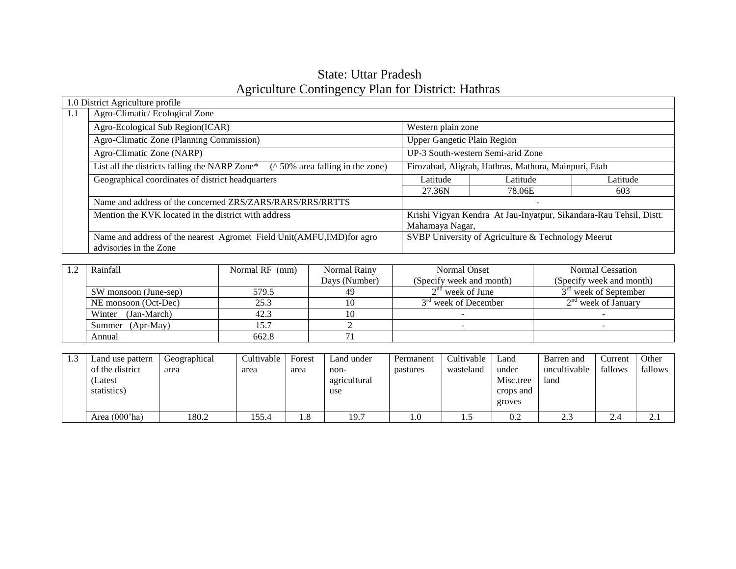# State: Uttar Pradesh Agriculture Contingency Plan for District: Hathras

|     | 1.0 District Agriculture profile                                                                                             |                                                      |                                                                    |          |  |  |  |  |
|-----|------------------------------------------------------------------------------------------------------------------------------|------------------------------------------------------|--------------------------------------------------------------------|----------|--|--|--|--|
| 1.1 | Agro-Climatic/Ecological Zone                                                                                                |                                                      |                                                                    |          |  |  |  |  |
|     | Agro-Ecological Sub Region(ICAR)                                                                                             |                                                      | Western plain zone                                                 |          |  |  |  |  |
|     | Agro-Climatic Zone (Planning Commission)                                                                                     | <b>Upper Gangetic Plain Region</b>                   |                                                                    |          |  |  |  |  |
|     | Agro-Climatic Zone (NARP)                                                                                                    |                                                      | UP-3 South-western Semi-arid Zone                                  |          |  |  |  |  |
|     | List all the districts falling the NARP Zone*<br>( $\land$ 50% area falling in the zone)                                     | Firozabad, Aligrah, Hathras, Mathura, Mainpuri, Etah |                                                                    |          |  |  |  |  |
|     | Geographical coordinates of district headquarters                                                                            | Latitude                                             | Latitude                                                           | Latitude |  |  |  |  |
|     |                                                                                                                              | 27.36N                                               | 78.06E                                                             | 603      |  |  |  |  |
|     | Name and address of the concerned ZRS/ZARS/RARS/RRS/RRTTS                                                                    |                                                      | $\overline{\phantom{a}}$                                           |          |  |  |  |  |
|     | Mention the KVK located in the district with address                                                                         |                                                      | Krishi Vigyan Kendra At Jau-Inyatpur, Sikandara-Rau Tehsil, Distt. |          |  |  |  |  |
|     |                                                                                                                              | Mahamaya Nagar,                                      |                                                                    |          |  |  |  |  |
|     | SVBP University of Agriculture & Technology Meerut<br>Name and address of the nearest Agromet Field Unit(AMFU, IMD) for agro |                                                      |                                                                    |          |  |  |  |  |
|     | advisories in the Zone                                                                                                       |                                                      |                                                                    |          |  |  |  |  |

| Rainfall                       | Normal RF (mm) | Normal Rainy  | Normal Onset             | <b>Normal Cessation</b>           |
|--------------------------------|----------------|---------------|--------------------------|-----------------------------------|
|                                |                | Days (Number) | (Specify week and month) | (Specify week and month)          |
| 579.5<br>SW monsoon (June-sep) |                | 49            | $2na$ week of June       | 3 <sup>rd</sup> week of September |
| NE monsoon (Oct-Dec)           | 25.3           |               | $3rd$ week of December   | $2nd$ week of January             |
| (Jan-March)<br>Winter          | 42.3           |               |                          |                                   |
| Summer (Apr-May)               | 15.7           |               |                          |                                   |
| Annual                         | 662.8          |               |                          |                                   |

| 1.3 | Land use pattern<br>of the district<br>(Latest<br>statistics) | Geographical<br>area | Cultivable<br>area | Forest<br>area | Land under<br>non-<br>agricultural<br>use | Permanent<br>pastures | Cultivable<br>wasteland | Land<br>under<br>Misc.tree<br>crops and<br>groves | Barren and<br>uncultivable<br>land | Current<br>fallows | Other<br>fallows |
|-----|---------------------------------------------------------------|----------------------|--------------------|----------------|-------------------------------------------|-----------------------|-------------------------|---------------------------------------------------|------------------------------------|--------------------|------------------|
|     | Area $(000'$ ha)                                              | 180.2                | 155.4              | 1.8            | 19.7                                      | 1.0                   | ن د                     | 0.2                                               | $\cap$<br>2.3                      | 2.4                | $\sim$<br>$\sim$ |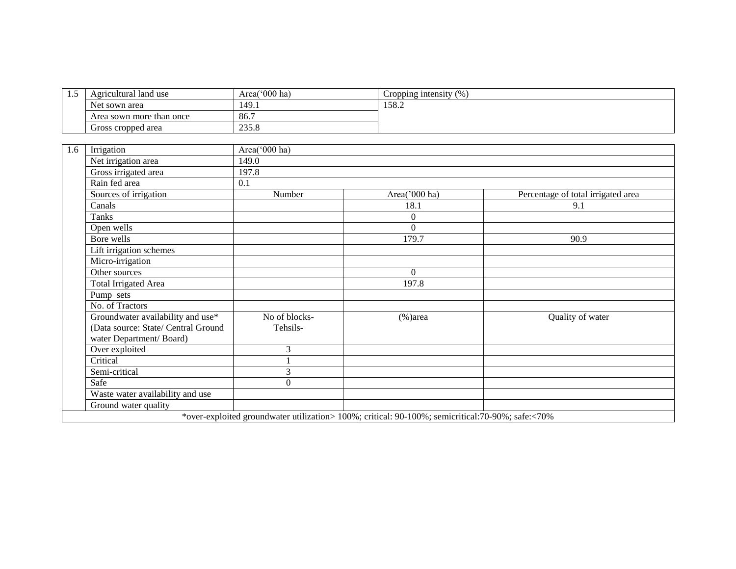| 1.5 | Agricultural land use               | Area('000 ha)  | Cropping intensity (%)                                                                           |                                    |
|-----|-------------------------------------|----------------|--------------------------------------------------------------------------------------------------|------------------------------------|
|     | Net sown area                       | 149.1          | 158.2                                                                                            |                                    |
|     | Area sown more than once            | 86.7           |                                                                                                  |                                    |
|     | Gross cropped area                  | 235.8          |                                                                                                  |                                    |
|     |                                     |                |                                                                                                  |                                    |
| 1.6 | Irrigation                          | Area('000 ha)  |                                                                                                  |                                    |
|     | Net irrigation area                 | 149.0          |                                                                                                  |                                    |
|     | Gross irrigated area                | 197.8          |                                                                                                  |                                    |
|     | Rain fed area                       | 0.1            |                                                                                                  |                                    |
|     | Sources of irrigation               | Number         | Area('000 ha)                                                                                    | Percentage of total irrigated area |
|     | Canals                              |                | 18.1                                                                                             | 9.1                                |
|     | Tanks                               |                | $\Omega$                                                                                         |                                    |
|     | Open wells                          |                | $\Omega$                                                                                         |                                    |
|     | Bore wells                          |                | 179.7                                                                                            | 90.9                               |
|     | Lift irrigation schemes             |                |                                                                                                  |                                    |
|     | Micro-irrigation                    |                |                                                                                                  |                                    |
|     | Other sources                       |                | $\Omega$                                                                                         |                                    |
|     | <b>Total Irrigated Area</b>         |                | 197.8                                                                                            |                                    |
|     | Pump sets                           |                |                                                                                                  |                                    |
|     | No. of Tractors                     |                |                                                                                                  |                                    |
|     | Groundwater availability and use*   | No of blocks-  | $(\% )$ area                                                                                     | Quality of water                   |
|     | (Data source: State/ Central Ground | Tehsils-       |                                                                                                  |                                    |
|     | water Department/Board)             |                |                                                                                                  |                                    |
|     | Over exploited                      | 3              |                                                                                                  |                                    |
|     | Critical                            |                |                                                                                                  |                                    |
|     | Semi-critical                       | 3              |                                                                                                  |                                    |
|     | Safe                                | $\overline{0}$ |                                                                                                  |                                    |
|     | Waste water availability and use    |                |                                                                                                  |                                    |
|     | Ground water quality                |                |                                                                                                  |                                    |
|     |                                     |                | *over-exploited groundwater utilization> 100%; critical: 90-100%; semicritical:70-90%; safe:<70% |                                    |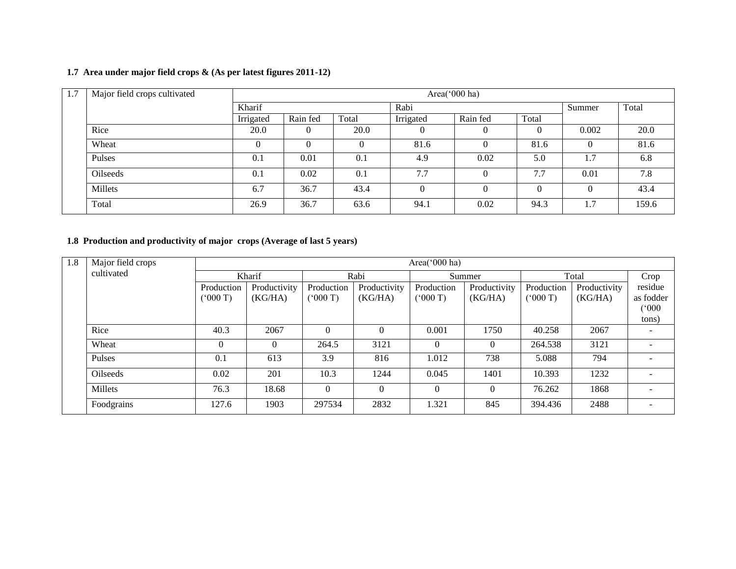### **1.7 Area under major field crops & (As per latest figures 2011-12)**

| 1.7 | Major field crops cultivated |           |          |       |           | Area(' $000$ ha) |        |       |       |
|-----|------------------------------|-----------|----------|-------|-----------|------------------|--------|-------|-------|
|     |                              | Kharif    |          |       | Rabi      |                  | Summer | Total |       |
|     |                              | Irrigated | Rain fed | Total | Irrigated | Rain fed         | Total  |       |       |
|     | Rice                         | 20.0      |          | 20.0  | O         | $\theta$         |        | 0.002 | 20.0  |
|     | Wheat                        | $\Omega$  | 0        |       | 81.6      | $\Omega$         | 81.6   |       | 81.6  |
|     | Pulses                       | 0.1       | 0.01     | 0.1   | 4.9       | 0.02             | 5.0    | 1.7   | 6.8   |
|     | Oilseeds                     | 0.1       | 0.02     | 0.1   | 7.7       | $\Omega$         | 7.7    | 0.01  | 7.8   |
|     | Millets                      | 6.7       | 36.7     | 43.4  |           | $\theta$         |        |       | 43.4  |
|     | Total                        | 26.9      | 36.7     | 63.6  | 94.1      | 0.02             | 94.3   | 1.7   | 159.6 |

#### **1.8 Production and productivity of major crops (Average of last 5 years)**

| 1.8 | Major field crops |            |              |              |              | Area( $000$ ha) |              |            |              |           |
|-----|-------------------|------------|--------------|--------------|--------------|-----------------|--------------|------------|--------------|-----------|
|     | cultivated        |            | Kharif       |              | Rabi         | Summer          |              |            | Total        | Crop      |
|     |                   | Production | Productivity | Production   | Productivity | Production      | Productivity | Production | Productivity | residue   |
|     |                   | (000T)     | (KG/HA)      | (000T)       | (KG/HA)      | (000T)          | (KG/HA)      | (000T)     | (KG/HA)      | as fodder |
|     |                   |            |              |              |              |                 |              |            |              | (000)     |
|     |                   |            |              |              |              |                 |              |            |              | tons)     |
|     | Rice              | 40.3       | 2067         | $\theta$     | $\Omega$     | 0.001           | 1750         | 40.258     | 2067         |           |
|     | Wheat             | $\Omega$   | $\Omega$     | 264.5        | 3121         | $\Omega$        | $\Omega$     | 264.538    | 3121         |           |
|     | Pulses            | 0.1        | 613          | 3.9          | 816          | 1.012           | 738          | 5.088      | 794          |           |
|     | <b>Oilseeds</b>   | 0.02       | 201          | 10.3         | 1244         | 0.045           | 1401         | 10.393     | 1232         |           |
|     | Millets           | 76.3       | 18.68        | $\mathbf{0}$ | $\Omega$     | $\theta$        | $\Omega$     | 76.262     | 1868         |           |
|     | Foodgrains        | 127.6      | 1903         | 297534       | 2832         | 1.321           | 845          | 394.436    | 2488         |           |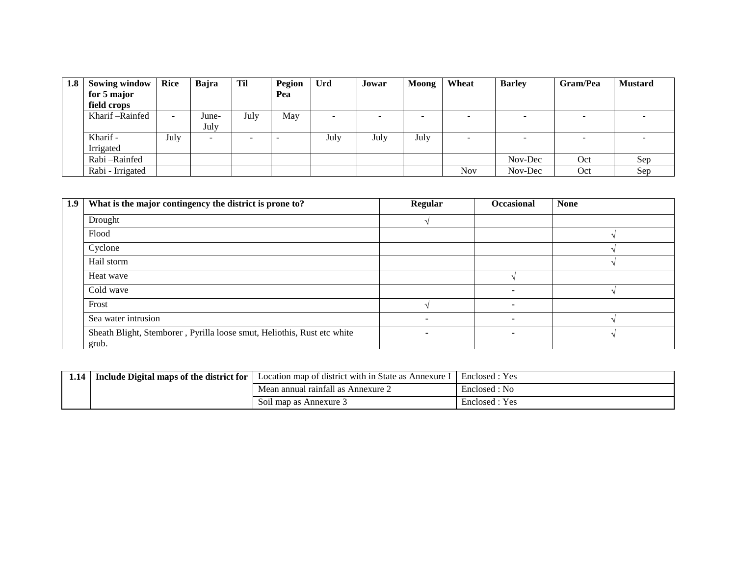| 1.8 | <b>Sowing window</b> | Rice                     | Bajra                    | <b>Til</b> | Pegion | Urd  | Jowar  | Moong                    | Wheat                    | <b>Barley</b> | Gram/Pea | <b>Mustard</b> |
|-----|----------------------|--------------------------|--------------------------|------------|--------|------|--------|--------------------------|--------------------------|---------------|----------|----------------|
|     | for 5 major          |                          |                          |            | Pea    |      |        |                          |                          |               |          |                |
|     | field crops          |                          |                          |            |        |      |        |                          |                          |               |          |                |
|     | Kharif – Rainfed     | $\overline{\phantom{a}}$ | June-                    | July       | May    | -    | $\sim$ | $\overline{\phantom{a}}$ |                          | -             |          |                |
|     |                      |                          | July                     |            |        |      |        |                          |                          |               |          |                |
|     | Kharif -             | July                     | $\overline{\phantom{0}}$ | -          |        | July | July   | July                     | $\overline{\phantom{0}}$ |               |          |                |
|     | Irrigated            |                          |                          |            |        |      |        |                          |                          |               |          |                |
|     | Rabi-Rainfed         |                          |                          |            |        |      |        |                          |                          | Nov-Dec       | Oct      | Sep            |
|     | Rabi - Irrigated     |                          |                          |            |        |      |        |                          | <b>Nov</b>               | Nov-Dec       | Oct      | Sep            |

| 1.9 | What is the major contingency the district is prone to?                          | Regular                  | Occasional | <b>None</b> |
|-----|----------------------------------------------------------------------------------|--------------------------|------------|-------------|
|     | Drought                                                                          |                          |            |             |
|     | Flood                                                                            |                          |            |             |
|     | Cyclone                                                                          |                          |            |             |
|     | Hail storm                                                                       |                          |            |             |
|     | Heat wave                                                                        |                          |            |             |
|     | Cold wave                                                                        |                          |            |             |
|     | Frost                                                                            |                          |            |             |
|     | Sea water intrusion                                                              | $\overline{\phantom{0}}$ |            |             |
|     | Sheath Blight, Stemborer, Pyrilla loose smut, Heliothis, Rust etc white<br>grub. | $\overline{\phantom{a}}$ |            |             |

| 1.14 | Include Digital maps of the district for | Location map of district with in State as Annexure | Enclosed : Yes |
|------|------------------------------------------|----------------------------------------------------|----------------|
|      |                                          | Mean annual rainfall as Annexure 2                 | Enclosed : No  |
|      |                                          | Soil map as Annexure 3                             | Enclosed : Yes |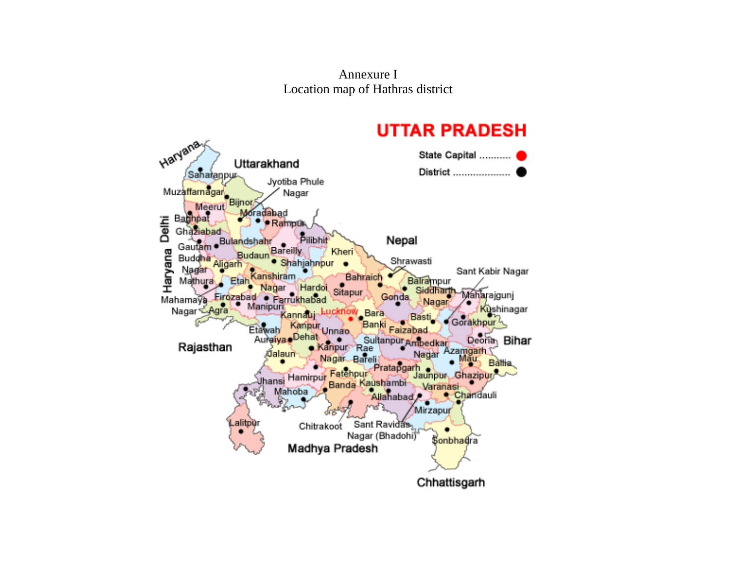Annexure I Location map of Hathras district

#### **UTTAR PRADESH** Haryana State Capital ........... Uttarakhand District .................... Saharappur Muzaffamagar<br>Meerut Bijnor Jyotiba Phule Nagar **Joradabad** Delhi Baghpat · Rampur Ghaziabad Pilibhit Gautam . Bulandshahr Nepal Bareilly, Haryana Kheri Budaun Buddha Shrawasti · Shahjahnpur Aligarh Nagar Sant Kabir Nagar Bahraich anshiram) Mathura Etah Balrampur Nagar Hardoi Siddhar Sitapur Mahamaya Firozabad Maharajgunj Parrukhabad Gonda, Nagar Anamaya<br>Nagar Manipuri Kushinagar Bara (NOW Kannauy Basti Gorakhpur<sup>2</sup> Kanpur Ba Etawah Faizabad Unnao, Auraiya Dehat Sultanpur Ambedkar Deoria<sub>n</sub> Bihar Rajasthan Kanpur Rae Azamgarh Jalaun Nagar Nagar Bareli **Battia** Pratapgarh Vhansi Hamirpur Fatehpur Jaunpur Ghazipur Banda Kaushambi-Varanasi Mahoba Allahabad Chandauli e, Mirzapur Lalitpyr Sant Ravidas, Chitrakoot ٠ Nagar (Bhadohi) **Sonbhadra** Madhya Pradesh Chhattisgarh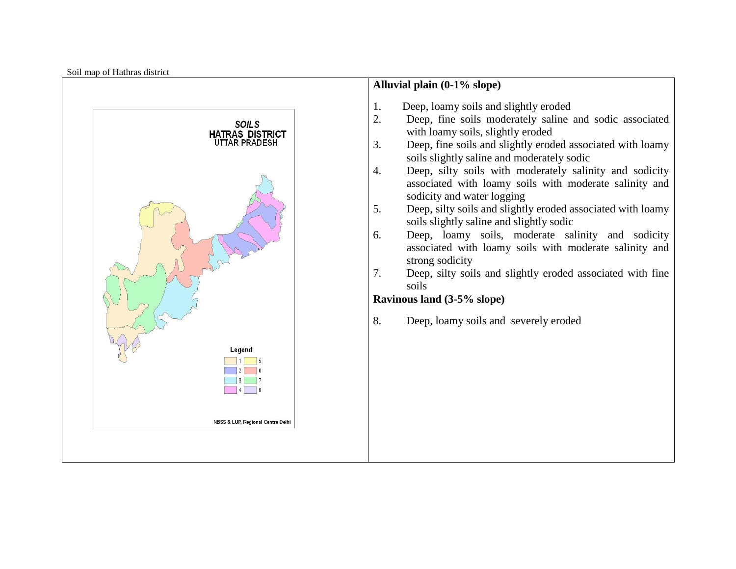Soil map of Hathras district

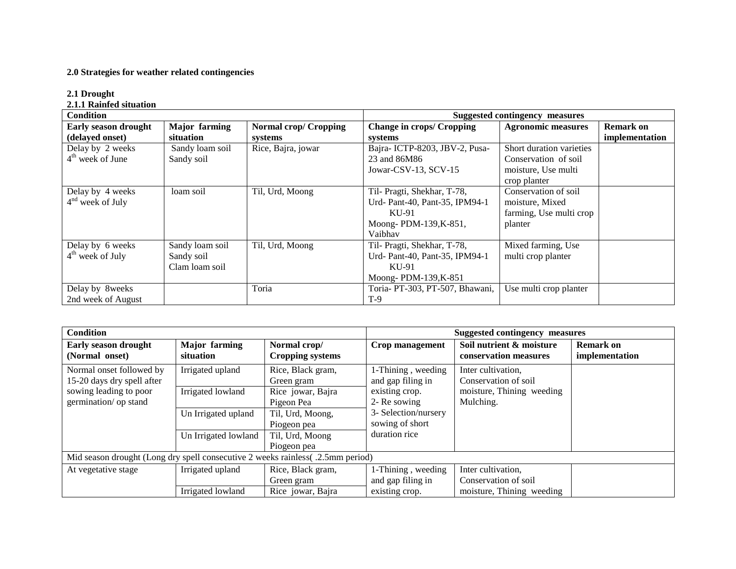#### **2.0 Strategies for weather related contingencies**

#### **2.1 Drought**

#### **2.1.1 Rainfed situation**

| Condition                               |                                                 |                                         |                                                                                                            | <b>Suggested contingency measures</b>                                                   |                                    |
|-----------------------------------------|-------------------------------------------------|-----------------------------------------|------------------------------------------------------------------------------------------------------------|-----------------------------------------------------------------------------------------|------------------------------------|
| Early season drought<br>(delayed onset) | <b>Major</b> farming<br>situation               | <b>Normal crop/ Cropping</b><br>systems | <b>Change in crops/ Cropping</b><br>systems                                                                | <b>Agronomic measures</b>                                                               | <b>Remark on</b><br>implementation |
| Delay by 2 weeks<br>$4th$ week of June  | Sandy loam soil<br>Sandy soil                   | Rice, Bajra, jowar                      | Bajra-ICTP-8203, JBV-2, Pusa-<br>23 and 86M86<br>Jowar-CSV-13, SCV-15                                      | Short duration varieties<br>Conservation of soil<br>moisture, Use multi<br>crop planter |                                    |
| Delay by 4 weeks<br>$4nd$ week of July  | loam soil                                       | Til, Urd, Moong                         | Til- Pragti, Shekhar, T-78,<br>Urd- Pant-40, Pant-35, IPM94-1<br>KU-91<br>Moong-PDM-139, K-851,<br>Vaibhav | Conservation of soil<br>moisture, Mixed<br>farming, Use multi crop<br>planter           |                                    |
| Delay by 6 weeks<br>$4th$ week of July  | Sandy loam soil<br>Sandy soil<br>Clam loam soil | Til, Urd, Moong                         | Til- Pragti, Shekhar, T-78,<br>Urd- Pant-40, Pant-35, IPM94-1<br>KU-91<br>Moong-PDM-139,K-851              | Mixed farming, Use<br>multi crop planter                                                |                                    |
| Delay by 8weeks<br>2nd week of August   |                                                 | Toria                                   | Toria-PT-303, PT-507, Bhawani,<br>$T-9$                                                                    | Use multi crop planter                                                                  |                                    |

| <b>Condition</b>                                                                |                                   |                                         |                                         | Suggested contingency measures                    |                                    |
|---------------------------------------------------------------------------------|-----------------------------------|-----------------------------------------|-----------------------------------------|---------------------------------------------------|------------------------------------|
| <b>Early season drought</b><br>(Normal onset)                                   | <b>Major</b> farming<br>situation | Normal crop/<br><b>Cropping systems</b> | Crop management                         | Soil nutrient & moisture<br>conservation measures | <b>Remark on</b><br>implementation |
| Normal onset followed by<br>15-20 days dry spell after                          | Irrigated upland                  | Rice, Black gram,<br>Green gram         | 1-Thining, weeding<br>and gap filing in | Inter cultivation.<br>Conservation of soil        |                                    |
| sowing leading to poor<br>germination/ op stand                                 | Irrigated lowland                 | Rice jowar, Bajra<br>Pigeon Pea         | existing crop.<br>2- Re sowing          | moisture, Thining weeding<br>Mulching.            |                                    |
|                                                                                 | Un Irrigated upland               | Til, Urd, Moong,<br>Piogeon pea         | 3- Selection/nursery<br>sowing of short |                                                   |                                    |
|                                                                                 | Un Irrigated lowland              | Til, Urd, Moong<br>Piogeon pea          | duration rice                           |                                                   |                                    |
| Mid season drought (Long dry spell consecutive 2 weeks rainless( .2.5mm period) |                                   |                                         |                                         |                                                   |                                    |
| At vegetative stage                                                             | Irrigated upland                  | Rice, Black gram,                       | 1-Thining, weeding                      | Inter cultivation,                                |                                    |
|                                                                                 |                                   | Green gram                              | and gap filing in                       | Conservation of soil                              |                                    |
|                                                                                 | Irrigated lowland                 | Rice jowar, Bajra                       | existing crop.                          | moisture, Thining weeding                         |                                    |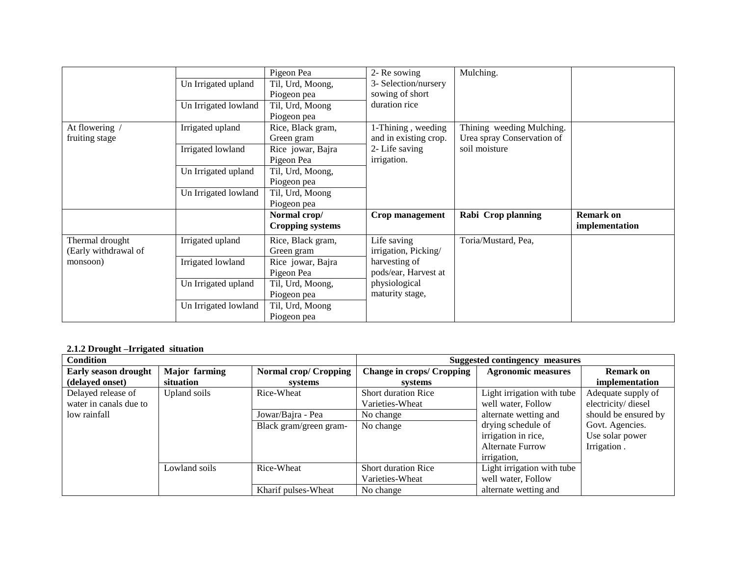| At flowering /<br>fruiting stage        | Un Irrigated upland<br>Un Irrigated lowland<br>Irrigated upland<br>Irrigated lowland | Pigeon Pea<br>Til, Urd, Moong,<br>Piogeon pea<br>Til, Urd, Moong<br>Piogeon pea<br>Rice, Black gram,<br>Green gram<br>Rice jowar, Bajra<br>Pigeon Pea | 2- Re sowing<br>3- Selection/nursery<br>sowing of short<br>duration rice<br>1-Thining, weeding<br>and in existing crop.<br>2-Life saving<br>irrigation. | Mulching.<br>Thining weeding Mulching.<br>Urea spray Conservation of<br>soil moisture |                                    |
|-----------------------------------------|--------------------------------------------------------------------------------------|-------------------------------------------------------------------------------------------------------------------------------------------------------|---------------------------------------------------------------------------------------------------------------------------------------------------------|---------------------------------------------------------------------------------------|------------------------------------|
|                                         | Un Irrigated upland<br>Un Irrigated lowland                                          | Til, Urd, Moong,<br>Piogeon pea<br>Til, Urd, Moong<br>Piogeon pea                                                                                     |                                                                                                                                                         |                                                                                       |                                    |
|                                         |                                                                                      | Normal crop/<br><b>Cropping systems</b>                                                                                                               | Crop management                                                                                                                                         | Rabi Crop planning                                                                    | <b>Remark on</b><br>implementation |
| Thermal drought<br>(Early withdrawal of | Irrigated upland                                                                     | Rice, Black gram,<br>Green gram                                                                                                                       | Life saving<br>irrigation, Picking/                                                                                                                     | Toria/Mustard, Pea,                                                                   |                                    |
| monsoon)                                | Irrigated lowland                                                                    | Rice jowar, Bajra<br>Pigeon Pea                                                                                                                       | harvesting of<br>pods/ear, Harvest at                                                                                                                   |                                                                                       |                                    |
|                                         | Un Irrigated upland                                                                  | Til, Urd, Moong,<br>Piogeon pea                                                                                                                       | physiological<br>maturity stage,                                                                                                                        |                                                                                       |                                    |
|                                         | Un Irrigated lowland                                                                 | Til, Urd, Moong<br>Piogeon pea                                                                                                                        |                                                                                                                                                         |                                                                                       |                                    |

#### **2.1.2 Drought –Irrigated situation**

| <b>Condition</b>            |                      | Suggested contingency measures |                                  |                            |                      |
|-----------------------------|----------------------|--------------------------------|----------------------------------|----------------------------|----------------------|
| <b>Early season drought</b> | <b>Major</b> farming | Normal crop/ Cropping          | <b>Change in crops/ Cropping</b> | <b>Agronomic measures</b>  | Remark on            |
| (delayed onset)             | situation            | systems                        | systems                          |                            | implementation       |
| Delayed release of          | Upland soils         | Rice-Wheat                     | <b>Short duration Rice</b>       | Light irrigation with tube | Adequate supply of   |
| water in canals due to      |                      |                                | Varieties-Wheat                  | well water, Follow         | electricity/diesel   |
| low rainfall                |                      | Jowar/Bajra - Pea              | No change                        | alternate wetting and      | should be ensured by |
|                             |                      | Black gram/green gram-         | No change                        | drying schedule of         | Govt. Agencies.      |
|                             |                      |                                |                                  | irrigation in rice,        | Use solar power      |
|                             |                      |                                |                                  | <b>Alternate Furrow</b>    | Irrigation.          |
|                             |                      |                                |                                  | irrigation,                |                      |
|                             | Lowland soils        | Rice-Wheat                     | <b>Short duration Rice</b>       | Light irrigation with tube |                      |
|                             |                      |                                | Varieties-Wheat                  | well water, Follow         |                      |
|                             |                      | Kharif pulses-Wheat            | No change                        | alternate wetting and      |                      |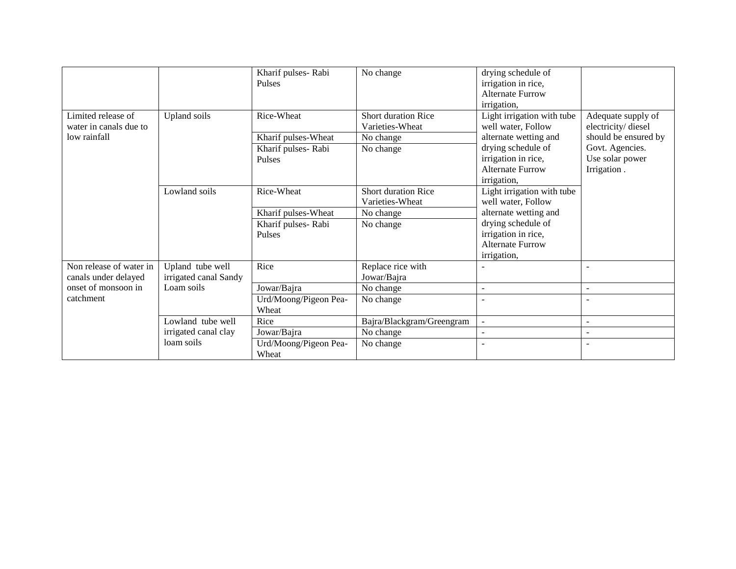|                                              |                       | Kharif pulses-Rabi<br><b>Pulses</b> | No change                                     | drying schedule of<br>irrigation in rice,<br><b>Alternate Furrow</b><br>irrigation, |                                          |
|----------------------------------------------|-----------------------|-------------------------------------|-----------------------------------------------|-------------------------------------------------------------------------------------|------------------------------------------|
| Limited release of<br>water in canals due to | Upland soils          | Rice-Wheat                          | <b>Short duration Rice</b><br>Varieties-Wheat | Light irrigation with tube<br>well water, Follow                                    | Adequate supply of<br>electricity/diesel |
| low rainfall                                 |                       | Kharif pulses-Wheat                 | No change                                     | alternate wetting and                                                               | should be ensured by                     |
|                                              |                       | Kharif pulses-Rabi                  | No change                                     | drying schedule of                                                                  | Govt. Agencies.                          |
|                                              |                       | Pulses                              |                                               | irrigation in rice,                                                                 | Use solar power                          |
|                                              |                       |                                     |                                               | <b>Alternate Furrow</b>                                                             | Irrigation.                              |
|                                              |                       |                                     |                                               | irrigation,                                                                         |                                          |
|                                              | Lowland soils         | Rice-Wheat                          | Short duration Rice                           | Light irrigation with tube                                                          |                                          |
|                                              |                       |                                     | Varieties-Wheat                               | well water, Follow                                                                  |                                          |
|                                              |                       | Kharif pulses-Wheat                 | No change                                     | alternate wetting and                                                               |                                          |
|                                              |                       | Kharif pulses-Rabi                  | No change                                     | drying schedule of                                                                  |                                          |
|                                              |                       | Pulses                              |                                               | irrigation in rice,                                                                 |                                          |
|                                              |                       |                                     |                                               | <b>Alternate Furrow</b>                                                             |                                          |
|                                              |                       |                                     |                                               | irrigation,                                                                         |                                          |
| Non release of water in                      | Upland tube well      | Rice                                | Replace rice with                             |                                                                                     |                                          |
| canals under delayed                         | irrigated canal Sandy |                                     | Jowar/Bajra                                   |                                                                                     |                                          |
| onset of monsoon in                          | Loam soils            | Jowar/Bajra                         | No change                                     | $\overline{\phantom{a}}$                                                            | $\sim$                                   |
| catchment                                    |                       | Urd/Moong/Pigeon Pea-               | No change                                     | $\blacksquare$                                                                      |                                          |
|                                              |                       | Wheat                               |                                               |                                                                                     |                                          |
|                                              | Lowland tube well     | Rice                                | Bajra/Blackgram/Greengram                     | ÷.                                                                                  | $\sim$                                   |
|                                              | irrigated canal clay  | Jowar/Bajra                         | No change                                     |                                                                                     |                                          |
|                                              | loam soils            | Urd/Moong/Pigeon Pea-<br>Wheat      | No change                                     |                                                                                     |                                          |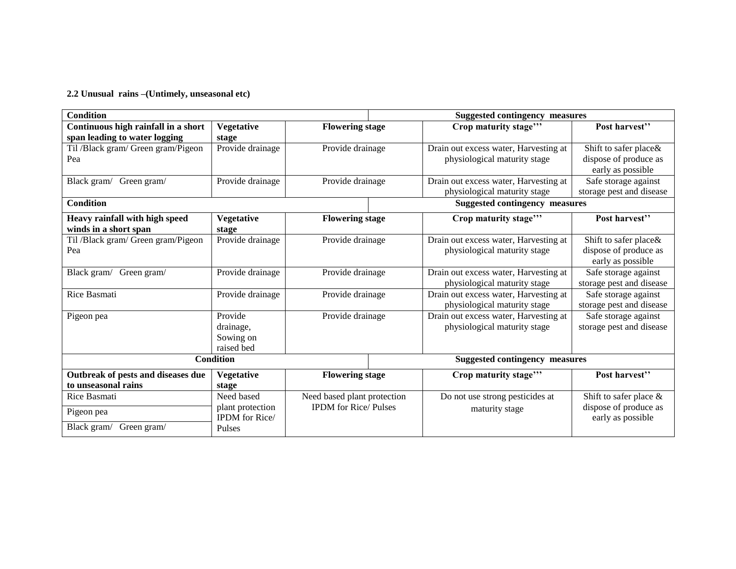**2.2 Unusual rains –(Untimely, unseasonal etc)**

| Post harvest"                                                                                                                                                                                                                                      |
|----------------------------------------------------------------------------------------------------------------------------------------------------------------------------------------------------------------------------------------------------|
| Shift to safer place&<br>dispose of produce as<br>early as possible                                                                                                                                                                                |
| Safe storage against<br>storage pest and disease                                                                                                                                                                                                   |
| <b>Suggested contingency measures</b>                                                                                                                                                                                                              |
| Post harvest"                                                                                                                                                                                                                                      |
| Shift to safer place&<br>dispose of produce as<br>early as possible                                                                                                                                                                                |
| Safe storage against<br>storage pest and disease                                                                                                                                                                                                   |
| Safe storage against<br>storage pest and disease                                                                                                                                                                                                   |
| Safe storage against<br>storage pest and disease                                                                                                                                                                                                   |
| <b>Suggested contingency measures</b>                                                                                                                                                                                                              |
| Post harvest"                                                                                                                                                                                                                                      |
| Shift to safer place $\&$                                                                                                                                                                                                                          |
| dispose of produce as<br>early as possible                                                                                                                                                                                                         |
| Drain out excess water, Harvesting at<br>Drain out excess water, Harvesting at<br>Drain out excess water, Harvesting at<br>Drain out excess water, Harvesting at<br>Drain out excess water, Harvesting at<br>Drain out excess water, Harvesting at |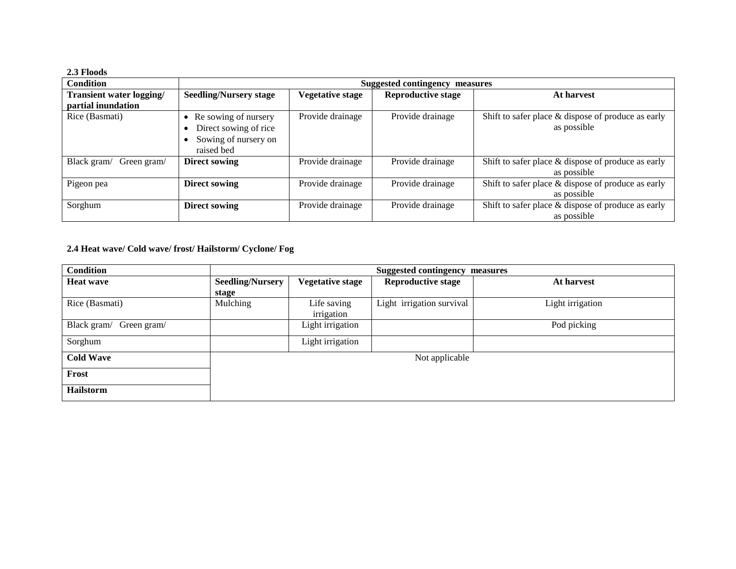#### **2.3 Floods**

| <b>Condition</b>           | Suggested contingency measures                                                                   |                         |                           |                                                                      |
|----------------------------|--------------------------------------------------------------------------------------------------|-------------------------|---------------------------|----------------------------------------------------------------------|
| Transient water logging/   | <b>Seedling/Nursery stage</b>                                                                    | <b>Vegetative stage</b> | <b>Reproductive stage</b> | At harvest                                                           |
| partial inundation         |                                                                                                  |                         |                           |                                                                      |
| Rice (Basmati)             | Re sowing of nursery<br>$\bullet$<br>Direct sowing of rice<br>Sowing of nursery on<br>raised bed | Provide drainage        | Provide drainage          | Shift to safer place & dispose of produce as early<br>as possible    |
| Black gram/<br>Green gram/ | <b>Direct sowing</b>                                                                             | Provide drainage        | Provide drainage          | Shift to safer place $\&$ dispose of produce as early<br>as possible |
| Pigeon pea                 | <b>Direct sowing</b>                                                                             | Provide drainage        | Provide drainage          | Shift to safer place & dispose of produce as early<br>as possible    |
| Sorghum                    | Direct sowing                                                                                    | Provide drainage        | Provide drainage          | Shift to safer place $&$ dispose of produce as early<br>as possible  |

### **2.4 Heat wave/ Cold wave/ frost/ Hailstorm/ Cyclone/ Fog**

| <b>Condition</b>           |                         |                         | <b>Suggested contingency measures</b> |                  |
|----------------------------|-------------------------|-------------------------|---------------------------------------|------------------|
| <b>Heat wave</b>           | <b>Seedling/Nursery</b> | <b>Vegetative stage</b> | <b>Reproductive stage</b>             | At harvest       |
|                            | stage                   |                         |                                       |                  |
| Rice (Basmati)             | Mulching                | Life saving             | Light irrigation survival             | Light irrigation |
|                            |                         | irrigation              |                                       |                  |
| Black gram/<br>Green gram/ |                         | Light irrigation        |                                       | Pod picking      |
| Sorghum                    |                         | Light irrigation        |                                       |                  |
| <b>Cold Wave</b>           |                         |                         | Not applicable                        |                  |
| Frost                      |                         |                         |                                       |                  |
| <b>Hailstorm</b>           |                         |                         |                                       |                  |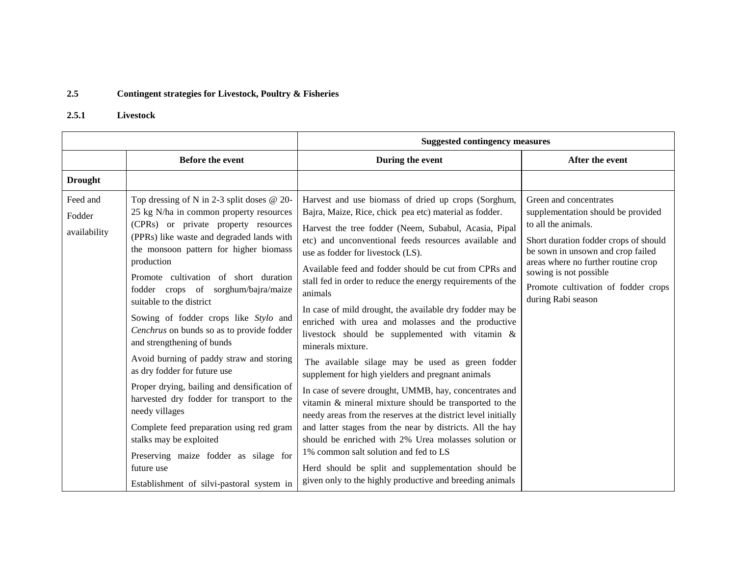## **2.5 Contingent strategies for Livestock, Poultry & Fisheries**

### **2.5.1 Livestock**

|                                    |                                                                                                                                                                                                                                                                                                                                                                                                                                                                                                                                                                                                                                                                                                                                                                                                                                         | <b>Suggested contingency measures</b>                                                                                                                                                                                                                                                                                                                                                                                                                                                                                                                                                                                                                                                                                                                                                                                                                                                                                                                                                                                                                                                                                                                                           |                                                                                                                                                                                                                                                                                                 |  |
|------------------------------------|-----------------------------------------------------------------------------------------------------------------------------------------------------------------------------------------------------------------------------------------------------------------------------------------------------------------------------------------------------------------------------------------------------------------------------------------------------------------------------------------------------------------------------------------------------------------------------------------------------------------------------------------------------------------------------------------------------------------------------------------------------------------------------------------------------------------------------------------|---------------------------------------------------------------------------------------------------------------------------------------------------------------------------------------------------------------------------------------------------------------------------------------------------------------------------------------------------------------------------------------------------------------------------------------------------------------------------------------------------------------------------------------------------------------------------------------------------------------------------------------------------------------------------------------------------------------------------------------------------------------------------------------------------------------------------------------------------------------------------------------------------------------------------------------------------------------------------------------------------------------------------------------------------------------------------------------------------------------------------------------------------------------------------------|-------------------------------------------------------------------------------------------------------------------------------------------------------------------------------------------------------------------------------------------------------------------------------------------------|--|
|                                    | <b>Before the event</b>                                                                                                                                                                                                                                                                                                                                                                                                                                                                                                                                                                                                                                                                                                                                                                                                                 | During the event                                                                                                                                                                                                                                                                                                                                                                                                                                                                                                                                                                                                                                                                                                                                                                                                                                                                                                                                                                                                                                                                                                                                                                | After the event                                                                                                                                                                                                                                                                                 |  |
| <b>Drought</b>                     |                                                                                                                                                                                                                                                                                                                                                                                                                                                                                                                                                                                                                                                                                                                                                                                                                                         |                                                                                                                                                                                                                                                                                                                                                                                                                                                                                                                                                                                                                                                                                                                                                                                                                                                                                                                                                                                                                                                                                                                                                                                 |                                                                                                                                                                                                                                                                                                 |  |
| Feed and<br>Fodder<br>availability | Top dressing of N in 2-3 split doses @ 20-<br>25 kg N/ha in common property resources<br>(CPRs) or private property resources<br>(PPRs) like waste and degraded lands with<br>the monsoon pattern for higher biomass<br>production<br>Promote cultivation of short duration<br>fodder crops of sorghum/bajra/maize<br>suitable to the district<br>Sowing of fodder crops like Stylo and<br>Cenchrus on bunds so as to provide fodder<br>and strengthening of bunds<br>Avoid burning of paddy straw and storing<br>as dry fodder for future use<br>Proper drying, bailing and densification of<br>harvested dry fodder for transport to the<br>needy villages<br>Complete feed preparation using red gram<br>stalks may be exploited<br>Preserving maize fodder as silage for<br>future use<br>Establishment of silvi-pastoral system in | Harvest and use biomass of dried up crops (Sorghum,<br>Bajra, Maize, Rice, chick pea etc) material as fodder.<br>Harvest the tree fodder (Neem, Subabul, Acasia, Pipal<br>etc) and unconventional feeds resources available and<br>use as fodder for livestock (LS).<br>Available feed and fodder should be cut from CPRs and<br>stall fed in order to reduce the energy requirements of the<br>animals<br>In case of mild drought, the available dry fodder may be<br>enriched with urea and molasses and the productive<br>livestock should be supplemented with vitamin &<br>minerals mixture.<br>The available silage may be used as green fodder<br>supplement for high yielders and pregnant animals<br>In case of severe drought, UMMB, hay, concentrates and<br>vitamin & mineral mixture should be transported to the<br>needy areas from the reserves at the district level initially<br>and latter stages from the near by districts. All the hay<br>should be enriched with 2% Urea molasses solution or<br>1% common salt solution and fed to LS<br>Herd should be split and supplementation should be<br>given only to the highly productive and breeding animals | Green and concentrates<br>supplementation should be provided<br>to all the animals.<br>Short duration fodder crops of should<br>be sown in unsown and crop failed<br>areas where no further routine crop<br>sowing is not possible<br>Promote cultivation of fodder crops<br>during Rabi season |  |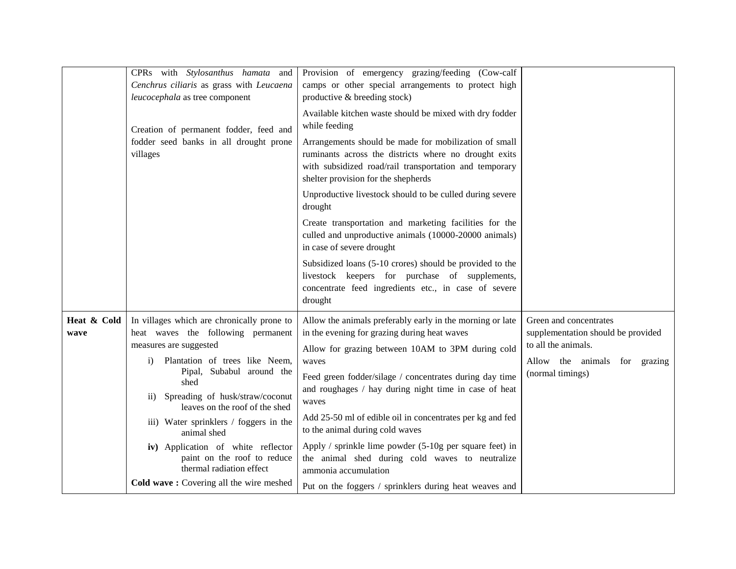| CPRs with Stylosanthus hamata and<br>Cenchrus ciliaris as grass with Leucaena<br>leucocephala as tree component                                                                                                                                                                                                                                                                                                                                                                        | Provision of emergency grazing/feeding (Cow-calf<br>camps or other special arrangements to protect high<br>productive & breeding stock)                                                                                                                                                                                                                                                                                                                                                                                                                                                              |                                                                                                                                          |
|----------------------------------------------------------------------------------------------------------------------------------------------------------------------------------------------------------------------------------------------------------------------------------------------------------------------------------------------------------------------------------------------------------------------------------------------------------------------------------------|------------------------------------------------------------------------------------------------------------------------------------------------------------------------------------------------------------------------------------------------------------------------------------------------------------------------------------------------------------------------------------------------------------------------------------------------------------------------------------------------------------------------------------------------------------------------------------------------------|------------------------------------------------------------------------------------------------------------------------------------------|
| Creation of permanent fodder, feed and                                                                                                                                                                                                                                                                                                                                                                                                                                                 | Available kitchen waste should be mixed with dry fodder<br>while feeding                                                                                                                                                                                                                                                                                                                                                                                                                                                                                                                             |                                                                                                                                          |
| fodder seed banks in all drought prone<br>villages                                                                                                                                                                                                                                                                                                                                                                                                                                     | Arrangements should be made for mobilization of small<br>ruminants across the districts where no drought exits<br>with subsidized road/rail transportation and temporary<br>shelter provision for the shepherds                                                                                                                                                                                                                                                                                                                                                                                      |                                                                                                                                          |
|                                                                                                                                                                                                                                                                                                                                                                                                                                                                                        | Unproductive livestock should to be culled during severe<br>drought                                                                                                                                                                                                                                                                                                                                                                                                                                                                                                                                  |                                                                                                                                          |
|                                                                                                                                                                                                                                                                                                                                                                                                                                                                                        | Create transportation and marketing facilities for the<br>culled and unproductive animals (10000-20000 animals)<br>in case of severe drought                                                                                                                                                                                                                                                                                                                                                                                                                                                         |                                                                                                                                          |
|                                                                                                                                                                                                                                                                                                                                                                                                                                                                                        | Subsidized loans (5-10 crores) should be provided to the<br>livestock keepers for purchase of supplements,<br>concentrate feed ingredients etc., in case of severe<br>drought                                                                                                                                                                                                                                                                                                                                                                                                                        |                                                                                                                                          |
| In villages which are chronically prone to<br>heat waves the following permanent<br>measures are suggested<br>Plantation of trees like Neem,<br>i)<br>Pipal, Subabul around the<br>shed<br>Spreading of husk/straw/coconut<br>$\overline{11}$ )<br>leaves on the roof of the shed<br>iii) Water sprinklers / foggers in the<br>animal shed<br>iv) Application of white reflector<br>paint on the roof to reduce<br>thermal radiation effect<br>Cold wave: Covering all the wire meshed | Allow the animals preferably early in the morning or late<br>in the evening for grazing during heat waves<br>Allow for grazing between 10AM to 3PM during cold<br>waves<br>Feed green fodder/silage / concentrates during day time<br>and roughages / hay during night time in case of heat<br>waves<br>Add 25-50 ml of edible oil in concentrates per kg and fed<br>to the animal during cold waves<br>Apply / sprinkle lime powder (5-10g per square feet) in<br>the animal shed during cold waves to neutralize<br>ammonia accumulation<br>Put on the foggers / sprinklers during heat weaves and | Green and concentrates<br>supplementation should be provided<br>to all the animals.<br>Allow the animals for grazing<br>(normal timings) |
|                                                                                                                                                                                                                                                                                                                                                                                                                                                                                        |                                                                                                                                                                                                                                                                                                                                                                                                                                                                                                                                                                                                      |                                                                                                                                          |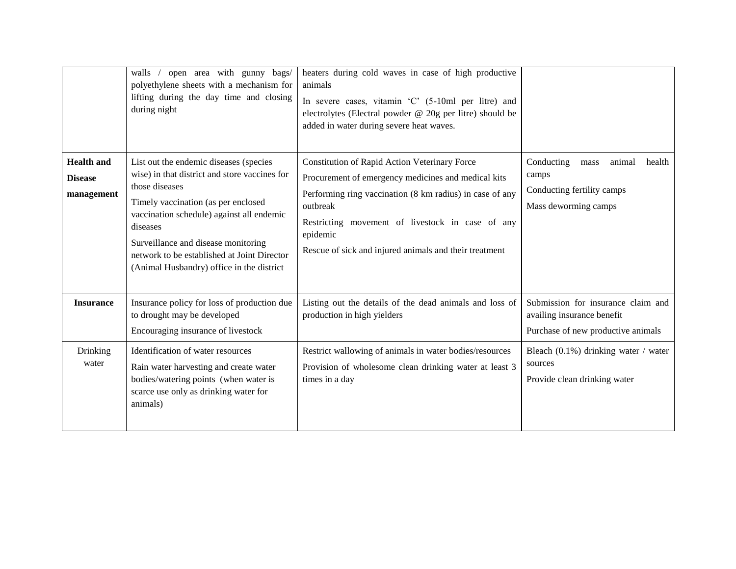|                                                   | open area with gunny bags/<br>walls /<br>polyethylene sheets with a mechanism for<br>lifting during the day time and closing<br>during night                                                                                                                                                                                                 | heaters during cold waves in case of high productive<br>animals<br>In severe cases, vitamin 'C' (5-10ml per litre) and<br>electrolytes (Electral powder @ 20g per litre) should be<br>added in water during severe heat waves.                                                                         |                                                                                                        |
|---------------------------------------------------|----------------------------------------------------------------------------------------------------------------------------------------------------------------------------------------------------------------------------------------------------------------------------------------------------------------------------------------------|--------------------------------------------------------------------------------------------------------------------------------------------------------------------------------------------------------------------------------------------------------------------------------------------------------|--------------------------------------------------------------------------------------------------------|
| <b>Health and</b><br><b>Disease</b><br>management | List out the endemic diseases (species<br>wise) in that district and store vaccines for<br>those diseases<br>Timely vaccination (as per enclosed<br>vaccination schedule) against all endemic<br>diseases<br>Surveillance and disease monitoring<br>network to be established at Joint Director<br>(Animal Husbandry) office in the district | Constitution of Rapid Action Veterinary Force<br>Procurement of emergency medicines and medical kits<br>Performing ring vaccination (8 km radius) in case of any<br>outbreak<br>Restricting movement of livestock in case of any<br>epidemic<br>Rescue of sick and injured animals and their treatment | Conducting<br>animal<br>health<br>mass<br>camps<br>Conducting fertility camps<br>Mass deworming camps  |
| <b>Insurance</b>                                  | Insurance policy for loss of production due<br>to drought may be developed<br>Encouraging insurance of livestock                                                                                                                                                                                                                             | Listing out the details of the dead animals and loss of<br>production in high yielders                                                                                                                                                                                                                 | Submission for insurance claim and<br>availing insurance benefit<br>Purchase of new productive animals |
| Drinking<br>water                                 | Identification of water resources<br>Rain water harvesting and create water<br>bodies/watering points (when water is<br>scarce use only as drinking water for<br>animals)                                                                                                                                                                    | Restrict wallowing of animals in water bodies/resources<br>Provision of wholesome clean drinking water at least 3<br>times in a day                                                                                                                                                                    | Bleach $(0.1\%)$ drinking water / water<br>sources<br>Provide clean drinking water                     |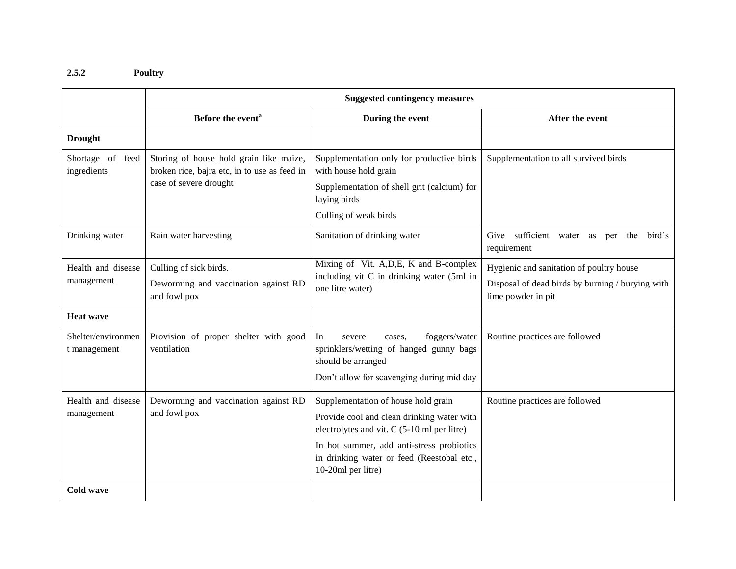### **2.5.2 Poultry**

|                                    | <b>Suggested contingency measures</b>                                                   |                                                                                                                                                                                                                                                   |                                                                                                                    |  |  |
|------------------------------------|-----------------------------------------------------------------------------------------|---------------------------------------------------------------------------------------------------------------------------------------------------------------------------------------------------------------------------------------------------|--------------------------------------------------------------------------------------------------------------------|--|--|
|                                    | Before the event <sup>a</sup>                                                           | During the event                                                                                                                                                                                                                                  | After the event                                                                                                    |  |  |
| <b>Drought</b>                     |                                                                                         |                                                                                                                                                                                                                                                   |                                                                                                                    |  |  |
| Shortage of feed<br>ingredients    | Storing of house hold grain like maize,<br>broken rice, bajra etc, in to use as feed in | Supplementation only for productive birds<br>with house hold grain                                                                                                                                                                                | Supplementation to all survived birds                                                                              |  |  |
|                                    | case of severe drought                                                                  | Supplementation of shell grit (calcium) for<br>laying birds                                                                                                                                                                                       |                                                                                                                    |  |  |
|                                    |                                                                                         | Culling of weak birds                                                                                                                                                                                                                             |                                                                                                                    |  |  |
| Drinking water                     | Rain water harvesting                                                                   | Sanitation of drinking water                                                                                                                                                                                                                      | Give sufficient water as per the bird's<br>requirement                                                             |  |  |
| Health and disease<br>management   | Culling of sick birds.<br>Deworming and vaccination against RD<br>and fowl pox          | Mixing of Vit. A, D, E, K and B-complex<br>including vit C in drinking water (5ml in<br>one litre water)                                                                                                                                          | Hygienic and sanitation of poultry house<br>Disposal of dead birds by burning / burying with<br>lime powder in pit |  |  |
| <b>Heat wave</b>                   |                                                                                         |                                                                                                                                                                                                                                                   |                                                                                                                    |  |  |
| Shelter/environmen<br>t management | Provision of proper shelter with good<br>ventilation                                    | foggers/water<br>In.<br>severe<br>cases.<br>sprinklers/wetting of hanged gunny bags<br>should be arranged<br>Don't allow for scavenging during mid day                                                                                            | Routine practices are followed                                                                                     |  |  |
| Health and disease<br>management   | Deworming and vaccination against RD<br>and fowl pox                                    | Supplementation of house hold grain<br>Provide cool and clean drinking water with<br>electrolytes and vit. C (5-10 ml per litre)<br>In hot summer, add anti-stress probiotics<br>in drinking water or feed (Reestobal etc.,<br>10-20ml per litre) | Routine practices are followed                                                                                     |  |  |
| Cold wave                          |                                                                                         |                                                                                                                                                                                                                                                   |                                                                                                                    |  |  |